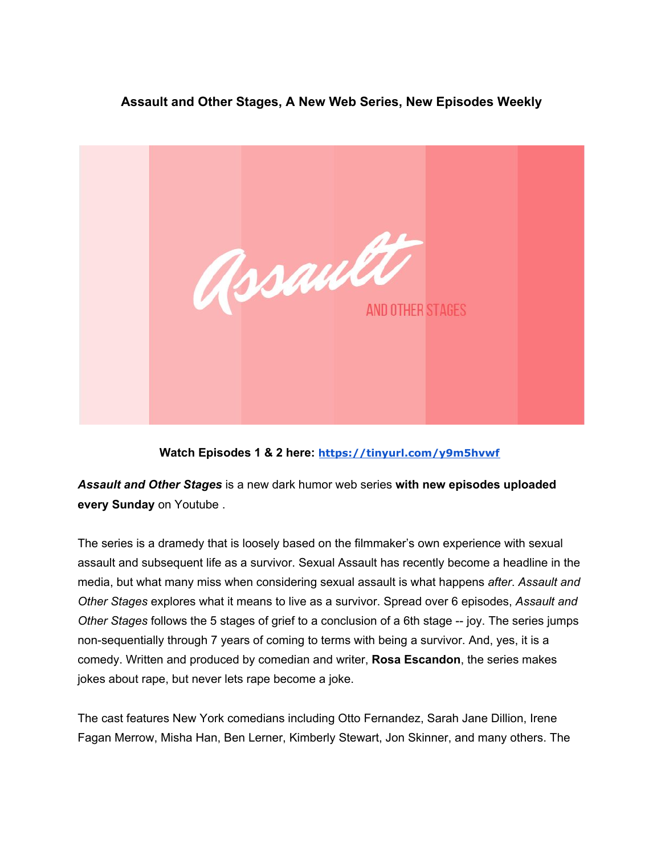## **Assault and Other Stages, A New Web Series, New Episodes Weekly**



## **Watch Episodes 1 & 2 here: <https://tinyurl.com/y9m5hvwf>**

*Assault and Other Stages* is a new dark humor web series **with new episodes uploaded every Sunday** on Youtube .

The series is a dramedy that is loosely based on the filmmaker's own experience with sexual assault and subsequent life as a survivor. Sexual Assault has recently become a headline in the media, but what many miss when considering sexual assault is what happens *after*. *Assault and Other Stages* explores what it means to live as a survivor. Spread over 6 episodes, *Assault and Other Stages* follows the 5 stages of grief to a conclusion of a 6th stage -- joy. The series jumps non-sequentially through 7 years of coming to terms with being a survivor. And, yes, it is a comedy. Written and produced by comedian and writer, **Rosa Escandon**, the series makes jokes about rape, but never lets rape become a joke.

The cast features New York comedians including Otto Fernandez, Sarah Jane Dillion, Irene Fagan Merrow, Misha Han, Ben Lerner, Kimberly Stewart, Jon Skinner, and many others. The